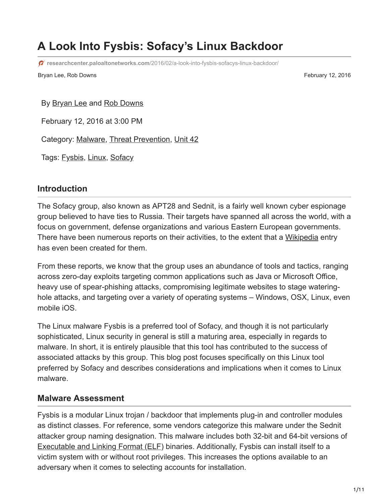# **A Look Into Fysbis: Sofacy's Linux Backdoor**

**researchcenter.paloaltonetworks.com**[/2016/02/a-look-into-fysbis-sofacys-linux-backdoor/](http://researchcenter.paloaltonetworks.com/2016/02/a-look-into-fysbis-sofacys-linux-backdoor/)

Bryan Lee, Rob Downs February 12, 2016

By **Bryan Lee and [Rob Downs](https://unit42.paloaltonetworks.com/author/rob-downs/)** 

February 12, 2016 at 3:00 PM

Category: [Malware,](https://unit42.paloaltonetworks.com/category/malware-2/) [Threat Prevention,](https://unit42.paloaltonetworks.com/category/threat-prevention-2/) [Unit 42](https://unit42.paloaltonetworks.com/category/unit42/)

Tags: [Fysbis,](https://unit42.paloaltonetworks.com/tag/fysbis/) [Linux](https://unit42.paloaltonetworks.com/tag/linux/), [Sofacy](https://unit42.paloaltonetworks.com/tag/sofacy/)

## **Introduction**

The Sofacy group, also known as APT28 and Sednit, is a fairly well known cyber espionage group believed to have ties to Russia. Their targets have spanned all across the world, with a focus on government, defense organizations and various Eastern European governments. There have been numerous reports on their activities, to the extent that a [Wikipedia](https://en.wikipedia.org/wiki/Sofacy_Group) entry has even been created for them.

From these reports, we know that the group uses an abundance of tools and tactics, ranging across zero-day exploits targeting common applications such as Java or Microsoft Office, heavy use of spear-phishing attacks, compromising legitimate websites to stage wateringhole attacks, and targeting over a variety of operating systems – Windows, OSX, Linux, even mobile iOS.

The Linux malware Fysbis is a preferred tool of Sofacy, and though it is not particularly sophisticated, Linux security in general is still a maturing area, especially in regards to malware. In short, it is entirely plausible that this tool has contributed to the success of associated attacks by this group. This blog post focuses specifically on this Linux tool preferred by Sofacy and describes considerations and implications when it comes to Linux malware.

### **Malware Assessment**

Fysbis is a modular Linux trojan / backdoor that implements plug-in and controller modules as distinct classes. For reference, some vendors categorize this malware under the Sednit attacker group naming designation. This malware includes both 32-bit and 64-bit versions of **[Executable and Linking Format \(ELF\)](http://www.linuxjournal.com/article/1059) binaries. Additionally, Fysbis can install itself to a** victim system with or without root privileges. This increases the options available to an adversary when it comes to selecting accounts for installation.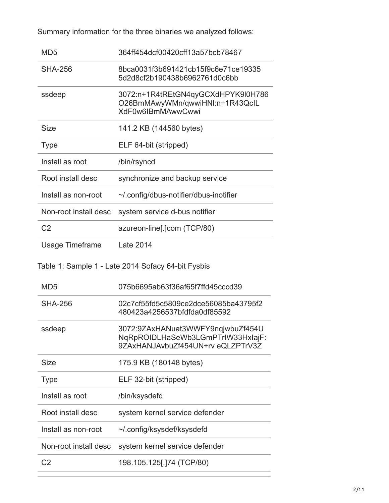Summary information for the three binaries we analyzed follows:

| MD <sub>5</sub>       | 364ff454dcf00420cff13a57bcb78467                                                                            |
|-----------------------|-------------------------------------------------------------------------------------------------------------|
| <b>SHA-256</b>        | 8bca0031f3b691421cb15f9c6e71ce19335<br>5d2d8cf2b190438b6962761d0c6bb                                        |
| ssdeep                | 3072:n+1R4tREtGN4qyGCXdHPYK9l0H786<br>O26BmMAwyWMn/qwwiHNI:n+1R43QcIL<br>XdF0w6IBmMAwwCwwi                  |
| <b>Size</b>           | 141.2 KB (144560 bytes)                                                                                     |
| <b>Type</b>           | ELF 64-bit (stripped)                                                                                       |
| Install as root       | /bin/rsyncd                                                                                                 |
| Root install desc     | synchronize and backup service                                                                              |
| Install as non-root   | ~/.config/dbus-notifier/dbus-inotifier                                                                      |
| Non-root install desc | system service d-bus notifier                                                                               |
| C <sub>2</sub>        | azureon-line[.]com (TCP/80)                                                                                 |
| Usage Timeframe       | <b>Late 2014</b>                                                                                            |
|                       | Table 1: Sample 1 - Late 2014 Sofacy 64-bit Fysbis                                                          |
| MD <sub>5</sub>       | 075b6695ab63f36af65f7ffd45cccd39                                                                            |
| <b>SHA-256</b>        | 02c7cf55fd5c5809ce2dce56085ba43795f2<br>480423a4256537bfdfda0df85592                                        |
| ssdeep                | 3072:9ZAxHANuat3WWFY9nqjwbuZf454U<br>NqRpROIDLHaSeWb3LGmPTrIW33HxIajF:<br>9ZAxHANJAvbuZf454UN+rv eQLZPTrV3Z |
| <b>Size</b>           |                                                                                                             |
|                       | 175.9 KB (180148 bytes)                                                                                     |
| <b>Type</b>           | ELF 32-bit (stripped)                                                                                       |
| Install as root       | /bin/ksysdefd                                                                                               |
| Root install desc     | system kernel service defender                                                                              |
| Install as non-root   | ~/.config/ksysdef/ksysdefd                                                                                  |
| Non-root install desc | system kernel service defender                                                                              |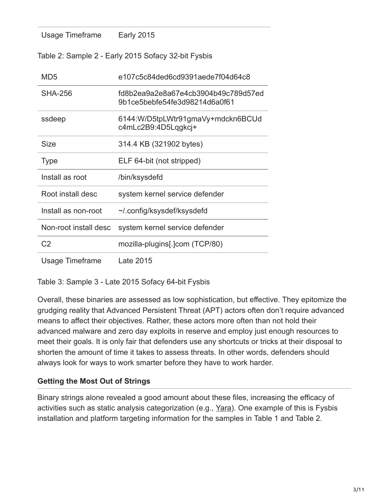| Usage Timeframe                                     | <b>Early 2015</b>                                                    |  |
|-----------------------------------------------------|----------------------------------------------------------------------|--|
| Table 2: Sample 2 - Early 2015 Sofacy 32-bit Fysbis |                                                                      |  |
| MD <sub>5</sub>                                     | e107c5c84ded6cd9391aede7f04d64c8                                     |  |
| <b>SHA-256</b>                                      | fd8b2ea9a2e8a67e4cb3904b49c789d57ed<br>9b1ce5bebfe54fe3d98214d6a0f61 |  |
| ssdeep                                              | 6144: W/D5tpLWtr91gmaVy+mdckn6BCUd<br>c4mLc2B9:4D5Lqgkcj+            |  |
| <b>Size</b>                                         | 314.4 KB (321902 bytes)                                              |  |
| <b>Type</b>                                         | ELF 64-bit (not stripped)                                            |  |
| Install as root                                     | /bin/ksysdefd                                                        |  |
| Root install desc                                   | system kernel service defender                                       |  |
| Install as non-root                                 | ~/.config/ksysdef/ksysdefd                                           |  |
| Non-root install desc                               | system kernel service defender                                       |  |
| C <sub>2</sub>                                      | mozilla-plugins[.]com (TCP/80)                                       |  |
| <b>Usage Timeframe</b>                              | Late 2015                                                            |  |

Table 3: Sample 3 - Late 2015 Sofacy 64-bit Fysbis

Overall, these binaries are assessed as low sophistication, but effective. They epitomize the grudging reality that Advanced Persistent Threat (APT) actors often don't require advanced means to affect their objectives. Rather, these actors more often than not hold their advanced malware and zero day exploits in reserve and employ just enough resources to meet their goals. It is only fair that defenders use any shortcuts or tricks at their disposal to shorten the amount of time it takes to assess threats. In other words, defenders should always look for ways to work smarter before they have to work harder.

### **Getting the Most Out of Strings**

Binary strings alone revealed a good amount about these files, increasing the efficacy of activities such as static analysis categorization (e.g., [Yara](https://plusvic.github.io/yara/)). One example of this is Fysbis installation and platform targeting information for the samples in Table 1 and Table 2.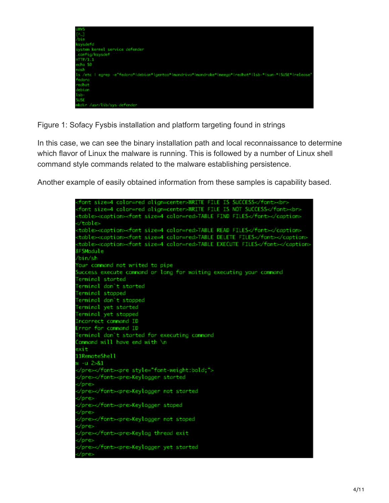

Figure 1: Sofacy Fysbis installation and platform targeting found in strings

In this case, we can see the binary installation path and local reconnaissance to determine which flavor of Linux the malware is running. This is followed by a number of Linux shell command style commands related to the malware establishing persistence.

Another example of easily obtained information from these samples is capability based.

| <font align="center" color="red" size="4">NRITE FILE IS SUCCESS</font><br>              |
|-----------------------------------------------------------------------------------------|
| <font align="center" color="red" size="4">NRITE FILE IS NOT SUCCESS</font><br>          |
| <table><caption><font color="red" size="4">TABLE FIND FILES</font></caption></table>    |
| √table≻                                                                                 |
| <table><caption><font color="red" size="4">TABLE READ FILES</font></caption></table>    |
| <table><caption><font color="red" size="4">TABLE DELETE FILES</font></caption></table>  |
| <table><caption><font color="red" size="4">TABLE EXECUTE FILES</font></caption></table> |
| 8FSModule                                                                               |
| /bin/sh                                                                                 |
| Your command not writed to pipe                                                         |
| Success execute command or long for waiting executing your command                      |
| Terminal started                                                                        |
| Terminal don't started                                                                  |
| Terminal stopped                                                                        |
| Terminal don't stopped                                                                  |
| Terminal yet started                                                                    |
| Terminal yet stopped                                                                    |
| Incorrect command ID                                                                    |
| Error for command ID                                                                    |
| Terminal don`t started for executing command                                            |
| Command will have end with <b>\n</b>                                                    |
| exit                                                                                    |
| 11RemoteShell                                                                           |
| w -u 2>&1                                                                               |
| <pre style="font-weight:bold;"></pre>                                                   |
| <pre>Keylogger started</pre>                                                            |
| ≺/pre>                                                                                  |
| <pre>Keylogger not started</pre>                                                        |
| ≺/pre>                                                                                  |
| <pre>Keylogger stoped</pre>                                                             |
| ≺/pre>                                                                                  |
| <pre>Keylogger not stoped</pre>                                                         |
|                                                                                         |
| <pre>Keylog thread exit</pre>                                                           |
| ≺/pre>                                                                                  |
| <pre>Keylogger yet started</pre>                                                        |
|                                                                                         |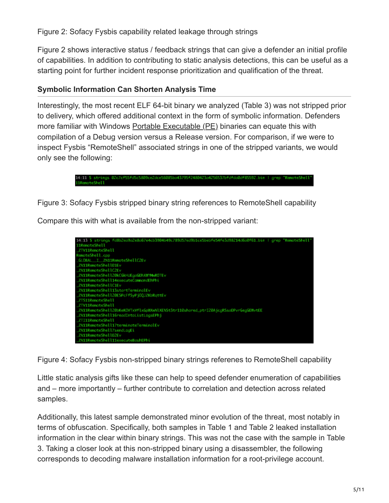Figure 2: Sofacy Fysbis capability related leakage through strings

Figure 2 shows interactive status / feedback strings that can give a defender an initial profile of capabilities. In addition to contributing to static analysis detections, this can be useful as a starting point for further incident response prioritization and qualification of the threat.

### **Symbolic Information Can Shorten Analysis Time**

Interestingly, the most recent ELF 64-bit binary we analyzed (Table 3) was not stripped prior to delivery, which offered additional context in the form of symbolic information. Defenders more familiar with Windows [Portable Executable \(PE\)](https://msdn.microsoft.com/en-us/library/ms809762.aspx) binaries can equate this with compilation of a Debug version versus a Release version. For comparison, if we were to inspect Fysbis "RemoteShell" associated strings in one of the stripped variants, we would only see the following:



Figure 3: Sofacy Fysbis stripped binary string references to RemoteShell capability

Compare this with what is available from the non-stripped variant:



Figure 4: Sofacy Fysbis non-stripped binary strings referenes to RemoteShell capability

Little static analysis gifts like these can help to speed defender enumeration of capabilities and – more importantly – further contribute to correlation and detection across related samples.

Additionally, this latest sample demonstrated minor evolution of the threat, most notably in terms of obfuscation. Specifically, both samples in Table 1 and Table 2 leaked installation information in the clear within binary strings. This was not the case with the sample in Table 3. Taking a closer look at this non-stripped binary using a disassembler, the following corresponds to decoding malware installation information for a root-privilege account.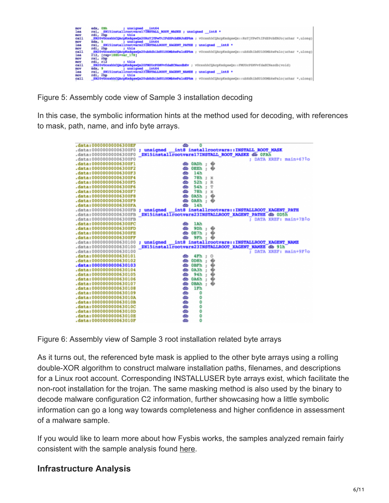

Figure 5: Assembly code view of Sample 3 installation decoding

In this case, the symbolic information hints at the method used for decoding, with references to mask, path, name, and info byte arrays.

| .data:00000000006300EF | ďb<br>0                                                     |
|------------------------|-------------------------------------------------------------|
| .data:00000000006300F0 | int8 installrootvars::INSTALL ROOT MASK<br>; unsigned       |
| .data:0000000006300F0  | ZN15installrootvars17INSTALL ROOT MASKE db OFAh             |
| .data:00000000006300F0 | : DATA XREF: main+671o                                      |
| .data:00000000006300F1 | db 0ADh ;<br>∙                                              |
| .data:00000000006300F2 | db<br>$OEBh : \bigcirc$                                     |
| .data:00000000006300F3 | 14 <sub>h</sub><br>db                                       |
| .data:00000000006300F4 | 78h<br>db<br>$\ddot{\rm{}}$<br>$\mathbf x$                  |
| .data:00000000006300F5 | 52h<br>db<br>R<br>$\ddot{x}$                                |
| .data:00000000006300F6 | db<br>54h<br>Τ<br>$\overline{z}$                            |
| .data:00000000006300F7 | db<br>78h<br>$\ddot{z}$<br>$\mathbf x$                      |
| .data:00000000006300F8 | ٠<br>0A5h<br>ďЬ<br>$\tau$                                   |
| .data:00000000006300F9 | ďb<br>0A8h<br>۰<br>$\ddot{\phantom{a}}$                     |
| .data:00000000006300FA | ďb<br>14h                                                   |
| .data:0000000006300FB  | int8 installrootvars::INSTALLROOT XAGENT PATH<br>; unsigned |
| .data:00000000006300FB | ZN15installrootvars23INSTALLROOT XAGENT PATHE db 0D5h       |
| .data:00000000006300FB | DATA XREF: main+7Blo<br>٠                                   |
| .data:00000000006300FC | 1Ah<br>dЪ                                                   |
| .data:00000000006300FD | 9Dh<br>ďЬ<br>ž.                                             |
| .data:00000000006300FE | ďЬ<br>0E7h<br>$\pm$                                         |
| .data:00000000006300FF | 9Fh<br>ďЬ                                                   |
| .data:0000000000630100 | int8 installrootvars::INSTALLROOT XAGENT NAME<br>; unsigned |
| .data:000000000630100  | ZN15installrootvars23INSTALLROOT XAGENT NAMEE db 91h        |
| .data:000000000630100  | DATA XREF: main+9Fio<br>٠                                   |
| .data:0000000000630101 | $4\mathrm{Fh}$ ;<br>dЪ<br>O                                 |
| .data:0000000000630102 | 0D8h<br>۰<br>ďЬ<br>÷                                        |
| .data:000000000630103  | <b>OBFh</b><br>٠<br>dЪ<br>$\overline{\mathbb{R}}$           |
| data:0000000000630104  | 0A3h<br>db                                                  |
| .data:0000000000630105 | 94h<br>db<br>⊕                                              |
| .data:0000000000630106 | db<br><b>0A6h</b><br>۰<br>÷                                 |
| data:000000000630107.  | <b>OBAh</b><br>٠<br>db<br>٠                                 |
| .data:0000000000630108 | db<br>1Fh                                                   |
| .data:000000000630109  | db<br>0                                                     |
| .data:000000000063010A | 0<br>db                                                     |
| .data:000000000063010B | 0<br>db                                                     |
| .data:000000000063010C | 0<br>db                                                     |
| .data:000000000063010D | 0<br>db                                                     |
| .data:000000000063010E | 0<br>db                                                     |
| .data:000000000063010F | 0<br>db                                                     |

Figure 6: Assembly view of Sample 3 root installation related byte arrays

As it turns out, the referenced byte mask is applied to the other byte arrays using a rolling double-XOR algorithm to construct malware installation paths, filenames, and descriptions for a Linux root account. Corresponding INSTALLUSER byte arrays exist, which facilitate the non-root installation for the trojan. The same masking method is also used by the binary to decode malware configuration C2 information, further showcasing how a little symbolic information can go a long way towards completeness and higher confidence in assessment of a malware sample.

If you would like to learn more about how Fysbis works, the samples analyzed remain fairly consistent with the sample analysis found [here.](http://vms.drweb.com/virus/?i=4276269)

## **Infrastructure Analysis**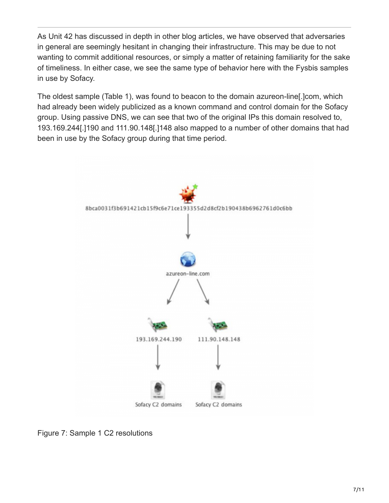As Unit 42 has discussed in depth in other blog articles, we have observed that adversaries in general are seemingly hesitant in changing their infrastructure. This may be due to not wanting to commit additional resources, or simply a matter of retaining familiarity for the sake of timeliness. In either case, we see the same type of behavior here with the Fysbis samples in use by Sofacy.

The oldest sample (Table 1), was found to beacon to the domain azureon-line[.]com, which had already been widely publicized as a known command and control domain for the Sofacy group. Using passive DNS, we can see that two of the original IPs this domain resolved to, 193.169.244[.]190 and 111.90.148[.]148 also mapped to a number of other domains that had been in use by the Sofacy group during that time period.



Figure 7: Sample 1 C2 resolutions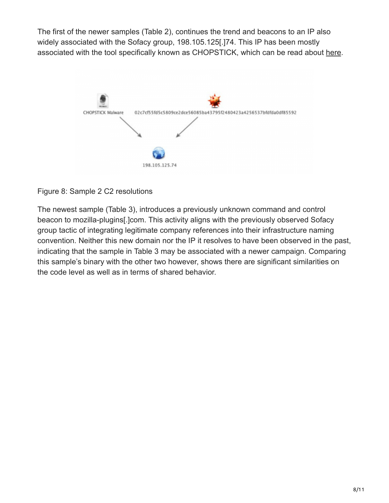The first of the newer samples (Table 2), continues the trend and beacons to an IP also widely associated with the Sofacy group, 198.105.125[.]74. This IP has been mostly associated with the tool specifically known as CHOPSTICK, which can be read about [here](https://www2.fireeye.com/rs/fireye/images/rpt-apt28.pdf).



#### Figure 8: Sample 2 C2 resolutions

The newest sample (Table 3), introduces a previously unknown command and control beacon to mozilla-plugins[.]com. This activity aligns with the previously observed Sofacy group tactic of integrating legitimate company references into their infrastructure naming convention. Neither this new domain nor the IP it resolves to have been observed in the past, indicating that the sample in Table 3 may be associated with a newer campaign. Comparing this sample's binary with the other two however, shows there are significant similarities on the code level as well as in terms of shared behavior.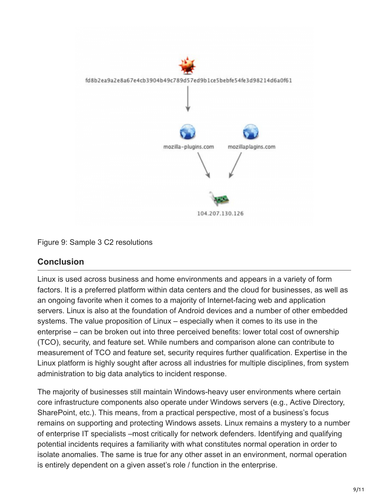

#### Figure 9: Sample 3 C2 resolutions

## **Conclusion**

Linux is used across business and home environments and appears in a variety of form factors. It is a preferred platform within data centers and the cloud for businesses, as well as an ongoing favorite when it comes to a majority of Internet-facing web and application servers. Linux is also at the foundation of Android devices and a number of other embedded systems. The value proposition of Linux – especially when it comes to its use in the enterprise – can be broken out into three perceived benefits: lower total cost of ownership (TCO), security, and feature set. While numbers and comparison alone can contribute to measurement of TCO and feature set, security requires further qualification. Expertise in the Linux platform is highly sought after across all industries for multiple disciplines, from system administration to big data analytics to incident response.

The majority of businesses still maintain Windows-heavy user environments where certain core infrastructure components also operate under Windows servers (e.g., Active Directory, SharePoint, etc.). This means, from a practical perspective, most of a business's focus remains on supporting and protecting Windows assets. Linux remains a mystery to a number of enterprise IT specialists –most critically for network defenders. Identifying and qualifying potential incidents requires a familiarity with what constitutes normal operation in order to isolate anomalies. The same is true for any other asset in an environment, normal operation is entirely dependent on a given asset's role / function in the enterprise.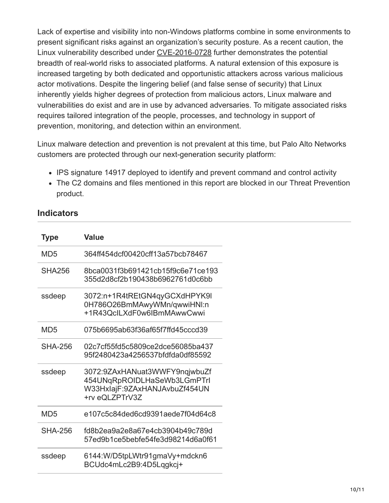Lack of expertise and visibility into non-Windows platforms combine in some environments to present significant risks against an organization's security posture. As a recent caution, the Linux vulnerability described under [CVE-2016-0728](http://www.pcworld.com/article/3023870/security/linux-kernel-flaw-endangers-millions-of-pcs-servers-and-android-devices.html) further demonstrates the potential breadth of real-world risks to associated platforms. A natural extension of this exposure is increased targeting by both dedicated and opportunistic attackers across various malicious actor motivations. Despite the lingering belief (and false sense of security) that Linux inherently yields higher degrees of protection from malicious actors, Linux malware and vulnerabilities do exist and are in use by advanced adversaries. To mitigate associated risks requires tailored integration of the people, processes, and technology in support of prevention, monitoring, and detection within an environment.

Linux malware detection and prevention is not prevalent at this time, but Palo Alto Networks customers are protected through our next-generation security platform:

- IPS signature 14917 deployed to identify and prevent command and control activity
- The C2 domains and files mentioned in this report are blocked in our Threat Prevention product.

| <b>Type</b>     | <b>Value</b>                                                                                                    |
|-----------------|-----------------------------------------------------------------------------------------------------------------|
| MD5             | 364ff454dcf00420cff13a57bcb78467                                                                                |
| <b>SHA256</b>   | 8bca0031f3b691421cb15f9c6e71ce193<br>355d2d8cf2b190438b6962761d0c6bb                                            |
| ssdeep          | 3072:n+1R4tREtGN4qyGCXdHPYK9I<br>0H786O26BmMAwyWMn/qwwiHNI:n<br>+1R43QcILXdF0w6IBmMAwwCwwi                      |
| MD5             | 075b6695ab63f36af65f7ffd45cccd39                                                                                |
| SHA-256         | 02c7cf55fd5c5809ce2dce56085ba437<br>95f2480423a4256537bfdfda0df85592                                            |
| ssdeep          | 3072:9ZAxHANuat3WWFY9nqjwbuZf<br>454UNqRpROIDLHaSeWb3LGmPTrI<br>W33HxIajF:9ZAxHANJAvbuZf454UN<br>+rv eQLZPTrV3Z |
| MD <sub>5</sub> | e107c5c84ded6cd9391aede7f04d64c8                                                                                |
| <b>SHA-256</b>  | fd8b2ea9a2e8a67e4cb3904b49c789d<br>57ed9b1ce5bebfe54fe3d98214d6a0f61                                            |
| ssdeep          | 6144: W/D5tpLWtr91gmaVy+mdckn6<br>BCUdc4mLc2B9:4D5Lqgkcj+                                                       |

#### **Indicators**